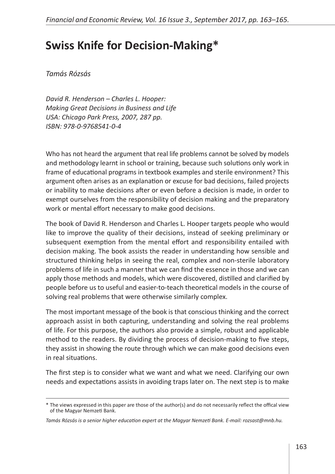## **Swiss Knife for Decision-Making\***

*Tamás Rózsás*

*David R. Henderson – Charles L. Hooper: Making Great Decisions in Business and Life USA: Chicago Park Press, 2007, 287 pp. ISBN: 978-0-9768541-0-4*

Who has not heard the argument that real life problems cannot be solved by models and methodology learnt in school or training, because such solutions only work in frame of educational programs in textbook examples and sterile environment? This argument often arises as an explanation or excuse for bad decisions, failed projects or inability to make decisions after or even before a decision is made, in order to exempt ourselves from the responsibility of decision making and the preparatory work or mental effort necessary to make good decisions.

The book of David R. Henderson and Charles L. Hooper targets people who would like to improve the quality of their decisions, instead of seeking preliminary or subsequent exemption from the mental effort and responsibility entailed with decision making. The book assists the reader in understanding how sensible and structured thinking helps in seeing the real, complex and non-sterile laboratory problems of life in such a manner that we can find the essence in those and we can apply those methods and models, which were discovered, distilled and clarified by people before us to useful and easier-to-teach theoretical models in the course of solving real problems that were otherwise similarly complex.

The most important message of the book is that conscious thinking and the correct approach assist in both capturing, understanding and solving the real problems of life. For this purpose, the authors also provide a simple, robust and applicable method to the readers. By dividing the process of decision-making to five steps, they assist in showing the route through which we can make good decisions even in real situations.

The first step is to consider what we want and what we need. Clarifying our own needs and expectations assists in avoiding traps later on. The next step is to make

<sup>\*</sup> The views expressed in this paper are those of the author(s) and do not necessarily reflect the offical view of the Magyar Nemzeti Bank.

*Tamás Rózsás is a senior higher education expert at the Magyar Nemzeti Bank. E-mail: rozsast@mnb.hu.*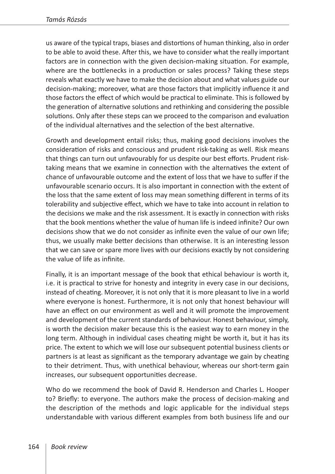us aware of the typical traps, biases and distortions of human thinking, also in order to be able to avoid these. After this, we have to consider what the really important factors are in connection with the given decision-making situation. For example, where are the bottlenecks in a production or sales process? Taking these steps reveals what exactly we have to make the decision about and what values guide our decision-making; moreover, what are those factors that implicitly influence it and those factors the effect of which would be practical to eliminate. This is followed by the generation of alternative solutions and rethinking and considering the possible solutions. Only after these steps can we proceed to the comparison and evaluation of the individual alternatives and the selection of the best alternative.

Growth and development entail risks; thus, making good decisions involves the consideration of risks and conscious and prudent risk-taking as well. Risk means that things can turn out unfavourably for us despite our best efforts. Prudent risktaking means that we examine in connection with the alternatives the extent of chance of unfavourable outcome and the extent of loss that we have to suffer if the unfavourable scenario occurs. It is also important in connection with the extent of the loss that the same extent of loss may mean something different in terms of its tolerability and subjective effect, which we have to take into account in relation to the decisions we make and the risk assessment. It is exactly in connection with risks that the book mentions whether the value of human life is indeed infinite? Our own decisions show that we do not consider as infinite even the value of our own life; thus, we usually make better decisions than otherwise. It is an interesting lesson that we can save or spare more lives with our decisions exactly by not considering the value of life as infinite.

Finally, it is an important message of the book that ethical behaviour is worth it, i.e. it is practical to strive for honesty and integrity in every case in our decisions, instead of cheating. Moreover, it is not only that it is more pleasant to live in a world where everyone is honest. Furthermore, it is not only that honest behaviour will have an effect on our environment as well and it will promote the improvement and development of the current standards of behaviour. Honest behaviour, simply, is worth the decision maker because this is the easiest way to earn money in the long term. Although in individual cases cheating might be worth it, but it has its price. The extent to which we will lose our subsequent potential business clients or partners is at least as significant as the temporary advantage we gain by cheating to their detriment. Thus, with unethical behaviour, whereas our short-term gain increases, our subsequent opportunities decrease.

Who do we recommend the book of David R. Henderson and Charles L. Hooper to? Briefly: to everyone. The authors make the process of decision-making and the description of the methods and logic applicable for the individual steps understandable with various different examples from both business life and our